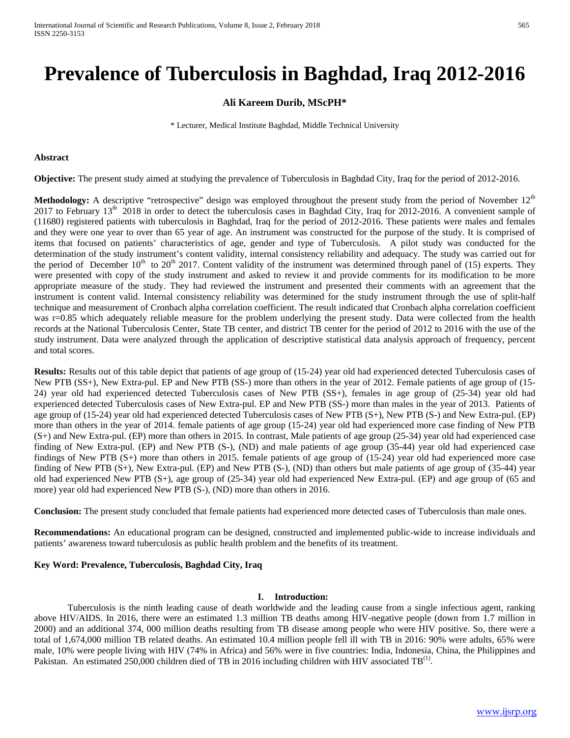# **Prevalence of Tuberculosis in Baghdad, Iraq 2012-2016**

## **Ali Kareem Durib, MScPH\***

\* Lecturer, Medical Institute Baghdad, Middle Technical University

#### **Abstract**

**Objective:** The present study aimed at studying the prevalence of Tuberculosis in Baghdad City, Iraq for the period of 2012-2016.

**Methodology:** A descriptive "retrospective" design was employed throughout the present study from the period of November 12<sup>th</sup> 2017 to February 13<sup>th</sup> 2018 in order to detect the tuberculosis cases in Baghdad City, Iraq for 2012-2016. A convenient sample of (11680) registered patients with tuberculosis in Baghdad, Iraq for the period of 2012-2016. These patients were males and females and they were one year to over than 65 year of age. An instrument was constructed for the purpose of the study. It is comprised of items that focused on patients' characteristics of age, gender and type of Tuberculosis. A pilot study was conducted for the determination of the study instrument's content validity, internal consistency reliability and adequacy. The study was carried out for the period of December  $10<sup>th</sup>$  to  $20<sup>th</sup>$  2017. Content validity of the instrument was determined through panel of (15) experts. They were presented with copy of the study instrument and asked to review it and provide comments for its modification to be more appropriate measure of the study. They had reviewed the instrument and presented their comments with an agreement that the instrument is content valid. Internal consistency reliability was determined for the study instrument through the use of split-half technique and measurement of Cronbach alpha correlation coefficient. The result indicated that Cronbach alpha correlation coefficient was r=0.85 which adequately reliable measure for the problem underlying the present study. Data were collected from the health records at the National Tuberculosis Center, State TB center, and district TB center for the period of 2012 to 2016 with the use of the study instrument. Data were analyzed through the application of descriptive statistical data analysis approach of frequency, percent and total scores.

**Results:** Results out of this table depict that patients of age group of (15-24) year old had experienced detected Tuberculosis cases of New PTB (SS+), New Extra-pul. EP and New PTB (SS-) more than others in the year of 2012. Female patients of age group of (15- 24) year old had experienced detected Tuberculosis cases of New PTB (SS+), females in age group of (25-34) year old had experienced detected Tuberculosis cases of New Extra-pul. EP and New PTB (SS-) more than males in the year of 2013. Patients of age group of (15-24) year old had experienced detected Tuberculosis cases of New PTB (S+), New PTB (S-) and New Extra-pul. (EP) more than others in the year of 2014. female patients of age group (15-24) year old had experienced more case finding of New PTB (S+) and New Extra-pul. (EP) more than others in 2015. In contrast, Male patients of age group (25-34) year old had experienced case finding of New Extra-pul. (EP) and New PTB (S-), (ND) and male patients of age group (35-44) year old had experienced case findings of New PTB (S+) more than others in 2015. female patients of age group of (15-24) year old had experienced more case finding of New PTB (S+), New Extra-pul. (EP) and New PTB (S-), (ND) than others but male patients of age group of (35-44) year old had experienced New PTB (S+), age group of (25-34) year old had experienced New Extra-pul. (EP) and age group of (65 and more) year old had experienced New PTB (S-), (ND) more than others in 2016.

**Conclusion:** The present study concluded that female patients had experienced more detected cases of Tuberculosis than male ones.

**Recommendations:** An educational program can be designed, constructed and implemented public-wide to increase individuals and patients' awareness toward tuberculosis as public health problem and the benefits of its treatment.

#### **Key Word: Prevalence, Tuberculosis, Baghdad City, Iraq**

#### **I. Introduction:**

Tuberculosis is the ninth leading cause of death worldwide and the leading cause from a single infectious agent, ranking above HIV/AIDS. In 2016, there were an estimated 1.3 million TB deaths among HIV-negative people (down from 1.7 million in 2000) and an additional 374, 000 million deaths resulting from TB disease among people who were HIV positive. So, there were a total of 1,674,000 million TB related deaths. An estimated 10.4 million people fell ill with TB in 2016: 90% were adults, 65% were male, 10% were people living with HIV (74% in Africa) and 56% were in five countries: India, Indonesia, China, the Philippines and Pakistan. An estimated 250,000 children died of TB in 2016 including children with HIV associated  $TB^{(1)}$ .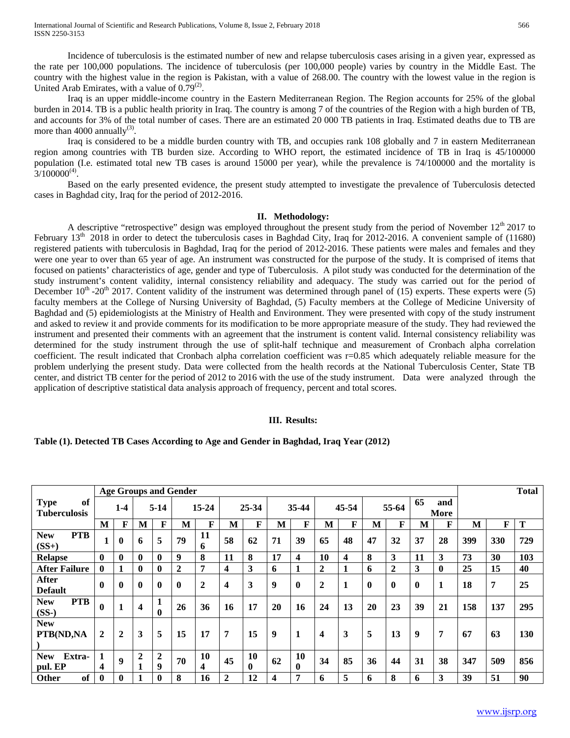Incidence of tuberculosis is the estimated number of new and relapse tuberculosis cases arising in a given year, expressed as the rate per 100,000 populations. The incidence of tuberculosis (per 100,000 people) varies by country in the Middle East. The country with the highest value in the region is Pakistan, with a value of 268.00. The country with the lowest value in the region is United Arab Emirates, with a value of  $0.79^{(2)}$ .

Iraq is an upper middle-income country in the Eastern Mediterranean Region. The Region accounts for 25% of the global burden in 2014. TB is a public health priority in Iraq. The country is among 7 of the countries of the Region with a high burden of TB, and accounts for 3% of the total number of cases. There are an estimated 20 000 TB patients in Iraq. Estimated deaths due to TB are more than 4000 annually<sup>(3)</sup>.

Iraq is considered to be a middle burden country with TB, and occupies rank 108 globally and 7 in eastern Mediterranean region among countries with TB burden size. According to WHO report, the estimated incidence of TB in Iraq is 45/100000 population (I.e. estimated total new TB cases is around 15000 per year), while the prevalence is 74/100000 and the mortality is  $3/100000^{(4)}$ .

Based on the early presented evidence, the present study attempted to investigate the prevalence of Tuberculosis detected cases in Baghdad city, Iraq for the period of 2012-2016.

#### **II. Methodology:**

A descriptive "retrospective" design was employed throughout the present study from the period of November  $12<sup>th</sup> 2017$  to February  $13<sup>th</sup>$  2018 in order to detect the tuberculosis cases in Baghdad City, Iraq for 2012-2016. A convenient sample of (11680) registered patients with tuberculosis in Baghdad, Iraq for the period of 2012-2016. These patients were males and females and they were one year to over than 65 year of age. An instrument was constructed for the purpose of the study. It is comprised of items that focused on patients' characteristics of age, gender and type of Tuberculosis. A pilot study was conducted for the determination of the study instrument's content validity, internal consistency reliability and adequacy. The study was carried out for the period of December  $10^{th}$  -20<sup>th</sup> 2017. Content validity of the instrument was determined through panel of (15) experts. These experts were (5) faculty members at the College of Nursing University of Baghdad, (5) Faculty members at the College of Medicine University of Baghdad and (5) epidemiologists at the Ministry of Health and Environment. They were presented with copy of the study instrument and asked to review it and provide comments for its modification to be more appropriate measure of the study. They had reviewed the instrument and presented their comments with an agreement that the instrument is content valid. Internal consistency reliability was determined for the study instrument through the use of split-half technique and measurement of Cronbach alpha correlation coefficient. The result indicated that Cronbach alpha correlation coefficient was r=0.85 which adequately reliable measure for the problem underlying the present study. Data were collected from the health records at the National Tuberculosis Center, State TB center, and district TB center for the period of 2012 to 2016 with the use of the study instrument. Data were analyzed through the application of descriptive statistical data analysis approach of frequency, percent and total scores.

#### **III. Results:**

#### **Table (1). Detected TB Cases According to Age and Gender in Baghdad, Iraq Year (2012)**

|                                          |                |              |                         |              | <b>Age Groups and Gender</b> |                |                         |                    |    |                         |                         |              |              |                |          |              |     |     | <b>Total</b> |
|------------------------------------------|----------------|--------------|-------------------------|--------------|------------------------------|----------------|-------------------------|--------------------|----|-------------------------|-------------------------|--------------|--------------|----------------|----------|--------------|-----|-----|--------------|
| <b>Type</b><br>of<br><b>Tuberculosis</b> |                | $1-4$        |                         | $5-14$       |                              | $15 - 24$      |                         | 25-34              |    | 35-44                   |                         | 45-54        |              | 55-64          | 65       | and<br>More  |     |     |              |
|                                          | M              | F            | M                       | $\mathbf{F}$ | M                            | F              | M                       | F                  | M  | F                       | M                       | F            | M            | $\mathbf{F}$   | M        | F            | M   | F   | Т            |
| <b>PTB</b><br><b>New</b><br>$(SS+)$      | 1              | $\bf{0}$     | 6                       | 5            | 79                           | 11<br>6        | 58                      | 62                 | 71 | 39                      | 65                      | 48           | 47           | 32             | 37       | 28           | 399 | 330 | 729          |
| <b>Relapse</b>                           | $\mathbf{0}$   | $\mathbf{0}$ | $\mathbf{0}$            | $\mathbf{0}$ | 9                            | 8              | 11                      | 8                  | 17 | $\overline{\mathbf{4}}$ | 10                      | 4            | 8            | 3              | 11       | 3            | 73  | 30  | 103          |
| <b>After Failure</b>                     | $\mathbf{0}$   | 1            | 0                       | $\bf{0}$     | $\mathbf{2}$                 | 7              | $\overline{\mathbf{4}}$ | 3                  | 6  | 1                       | $\overline{2}$          | $\mathbf{1}$ | 6            | $\overline{2}$ | 3        | $\mathbf{0}$ | 25  | 15  | 40           |
| After<br><b>Default</b>                  | $\mathbf{0}$   | $\bf{0}$     | $\bf{0}$                | $\mathbf{0}$ | $\mathbf{0}$                 | 2              | 4                       | 3                  | 9  | $\bf{0}$                | $\overline{2}$          | $\mathbf{1}$ | $\mathbf{0}$ | $\mathbf{0}$   | $\bf{0}$ | 1            | 18  | 7   | 25           |
| <b>PTB</b><br><b>New</b><br>$(SS-)$      | $\mathbf{0}$   |              | $\overline{\mathbf{4}}$ | $\mathbf{0}$ | 26                           | 36             | 16                      | 17                 | 20 | 16                      | 24                      | 13           | 20           | 23             | 39       | 21           | 158 | 137 | 295          |
| <b>New</b><br>PTB(ND,NA                  | $\overline{2}$ | $\mathbf{2}$ | 3                       | 5            | 15                           | 17             | 7                       | 15                 | 9  | 1                       | $\overline{\mathbf{4}}$ | 3            | 5            | 13             | 9        | 7            | 67  | 63  | 130          |
| Extra-<br><b>New</b><br>pul. EP          | 1<br>4         | 9            | $\boldsymbol{2}$<br>1   | 2<br>9       | 70                           | <b>10</b><br>4 | 45                      | 10<br>$\mathbf{0}$ | 62 | 10<br>$\mathbf{0}$      | 34                      | 85           | 36           | 44             | 31       | 38           | 347 | 509 | 856          |
| of<br><b>Other</b>                       | $\mathbf 0$    | $\bf{0}$     |                         | $\mathbf{0}$ | 8                            | 16             | $\overline{2}$          | 12                 | 4  | 7                       | 6                       | 5            | 6            | 8              | 6        | 3            | 39  | 51  | 90           |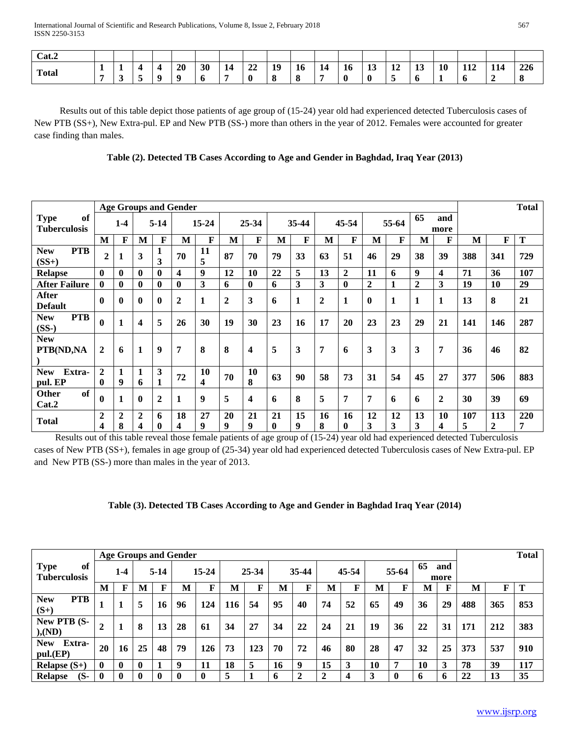| Cat.2        |     |   |          |          |    |    |                    |    |    |    |    |    |                       |           |    |     |     |     |
|--------------|-----|---|----------|----------|----|----|--------------------|----|----|----|----|----|-----------------------|-----------|----|-----|-----|-----|
| <b>Total</b> | . . | - |          | 20       | 30 | 14 | $\mathbf{A}$<br>44 | 19 | 16 | 14 | 16 | ⊥↓ | $\overline{ }$<br>-14 | <b>Le</b> | 10 | 112 | 114 | 226 |
|              |     |   | $\Omega$ | $\Omega$ | Ð  |    |                    |    | 0  | -  |    |    |                       | v         |    |     |     |     |

 Results out of this table depict those patients of age group of (15-24) year old had experienced detected Tuberculosis cases of New PTB (SS+), New Extra-pul. EP and New PTB (SS-) more than others in the year of 2012. Females were accounted for greater case finding than males.

|                                          |                                |                     |                     |                   | <b>Age Groups and Gender</b> |           |                  |                |                |              |                |                  |              |             |                |                |          |                     | <b>Total</b> |
|------------------------------------------|--------------------------------|---------------------|---------------------|-------------------|------------------------------|-----------|------------------|----------------|----------------|--------------|----------------|------------------|--------------|-------------|----------------|----------------|----------|---------------------|--------------|
| <b>Type</b><br>of<br><b>Tuberculosis</b> |                                | $1-4$               |                     | $5-14$            |                              | $15 - 24$ |                  | 25-34          |                | 35-44        |                | 45-54            |              | 55-64       | 65             | and<br>more    |          |                     |              |
|                                          | M                              | F                   | M                   | $\mathbf F$       | M                            | F         | M                | $\mathbf{F}$   | M              | $\mathbf{F}$ | M              | F                | M            | $\mathbf F$ | M              | F              | M        | F                   | T            |
| <b>PTB</b><br><b>New</b><br>$(SS+)$      | $\overline{2}$                 | 1                   | 3                   | 3                 | 70                           | 11<br>5   | 87               | 70             | 79             | 33           | 63             | 51               | 46           | 29          | 38             | 39             | 388      | 341                 | 729          |
| <b>Relapse</b>                           | $\mathbf{0}$                   | $\bf{0}$            | $\bf{0}$            | $\mathbf{0}$      | 4                            | 9         | 12               | 10             | 22             | 5            | 13             | $\boldsymbol{2}$ | 11           | 6           | 9              | 4              | 71       | 36                  | 107          |
| <b>After Failure</b>                     | $\mathbf{0}$                   | $\bf{0}$            | $\bf{0}$            | $\mathbf{0}$      | $\mathbf{0}$                 | 3         | 6                | $\bf{0}$       | 6              | 3            | 3              | $\bf{0}$         | $\mathbf{2}$ | 1           | $\overline{2}$ | 3              | 19       | 10                  | 29           |
| <b>After</b><br><b>Default</b>           | $\bf{0}$                       | $\bf{0}$            | $\bf{0}$            | $\mathbf{0}$      | $\mathbf 2$                  | 1         | $\boldsymbol{2}$ | 3              | 6              | 1            | $\overline{2}$ | $\mathbf{1}$     | $\bf{0}$     | 1           | $\mathbf{1}$   | $\mathbf{1}$   | 13       | 8                   | 21           |
| <b>PTB</b><br><b>New</b><br>$(SS-)$      | $\bf{0}$                       | 1                   | 4                   | 5                 | 26                           | 30        | 19               | 30             | 23             | 16           | 17             | 20               | 23           | 23          | 29             | 21             | 141      | 146                 | 287          |
| <b>New</b><br>PTB(ND,NA                  | $\overline{2}$                 | 6                   | $\mathbf{1}$        | 9                 | 7                            | 8         | 8                | 4              | 5              | 3            | 7              | 6                | 3            | 3           | 3              | $\overline{7}$ | 36       | 46                  | 82           |
| Extra-<br><b>New</b><br>pul. EP          | $\overline{2}$<br>$\mathbf{0}$ | 1<br>9              | 1<br>6              | 3                 | 72                           | 10<br>4   | 70               | <b>10</b><br>8 | 63             | 90           | 58             | 73               | 31           | 54          | 45             | 27             | 377      | 506                 | 883          |
| of<br><b>Other</b><br>Cat.2              | $\mathbf{0}$                   | 1                   | $\bf{0}$            | 2                 | 1                            | 9         | 5                | 4              | 6              | 8            | 5              | 7                | 7            | 6           | 6              | $\overline{2}$ | 30       | 39                  | 69           |
| <b>Total</b>                             | $\mathbf 2$<br>4               | $\overline{2}$<br>8 | $\overline{2}$<br>4 | 6<br>$\mathbf{0}$ | 18<br>4                      | 27<br>9   | 20<br>9          | 21<br>9        | 21<br>$\bf{0}$ | 15<br>9      | 16<br>8        | 16<br>$\bf{0}$   | 12<br>3      | 12<br>3     | 13<br>3        | 10<br>4        | 107<br>5 | 113<br>$\mathbf{2}$ | 220<br>7     |

 Results out of this table reveal those female patients of age group of (15-24) year old had experienced detected Tuberculosis cases of New PTB (SS+), females in age group of (25-34) year old had experienced detected Tuberculosis cases of New Extra-pul. EP and New PTB (SS-) more than males in the year of 2013.

|                                          |                |              |              |          | <b>Age Groups and Gender</b> |             |       |     |                     |       |                |       |    |       |    |             |     |     | <b>Total</b> |
|------------------------------------------|----------------|--------------|--------------|----------|------------------------------|-------------|-------|-----|---------------------|-------|----------------|-------|----|-------|----|-------------|-----|-----|--------------|
| <b>Type</b><br>of<br><b>Tuberculosis</b> |                | $1 - 4$      |              | $5 - 14$ |                              | $15 - 24$   | 25-34 |     |                     | 35-44 |                | 45-54 |    | 55-64 | 65 | and<br>more |     |     |              |
|                                          | M              | F            | M            | F        | M                            | $\mathbf F$ | M     | F   | M                   | F     | M              | F     | M  | F     | М  | F           | M   | F   | Т            |
| <b>PTB</b><br><b>New</b><br>$(S+)$       |                |              | 5            | 16       | 96                           | 124         | 116   | 54  | 95                  | 40    | 74             | 52    | 65 | 49    | 36 | 29          | 488 | 365 | 853          |
| New PTB (S-<br>), (ND)                   | $\overline{2}$ |              | 8            | 13       | 28                           | 61          | 34    | 27  | 34                  | 22    | 24             | 21    | 19 | 36    | 22 | 31          | 171 | 212 | 383          |
| Extra-<br><b>New</b><br>pul.(EP)         | 20             | 16           | 25           | 48       | 79                           | 126         | 73    | 123 | 70                  | 72    | 46             | 80    | 28 | 47    | 32 | 25          | 373 | 537 | 910          |
| Relapse $(S+)$                           | $\bf{0}$       | $\mathbf{0}$ | $\mathbf{0}$ |          | 9                            | -11         | 18    | 5   | 16                  | 9     | 15             | 3     | 10 | 7     | 10 | 3           | 78  | 39  | 117          |
| $(S-$<br><b>Relapse</b>                  | $\bf{0}$       | 0            | $\mathbf{0}$ | 0        | $\mathbf{0}$                 |             | 5     |     | $\ddot{\mathbf{a}}$ | ∍     | $\overline{2}$ | 4     | 3  | 0     | 6  | 6           | 22  | 13  | 35           |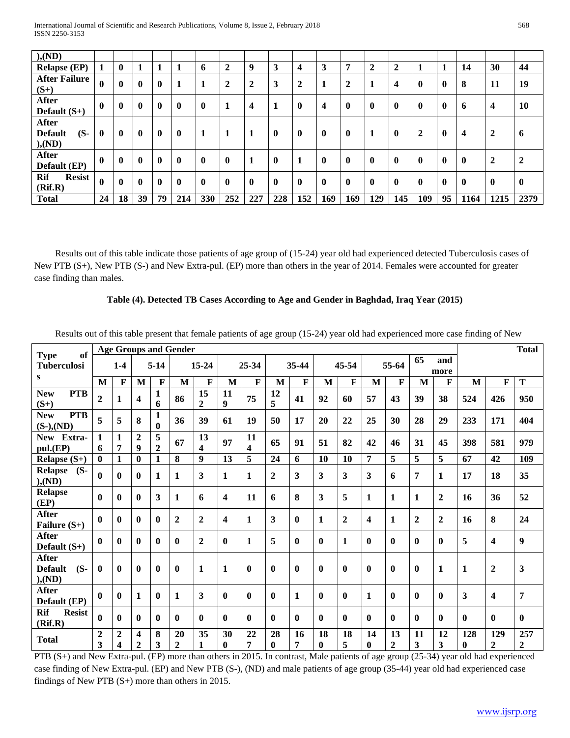| ), (ND)                                     |                  |              |                  |          |              |              |                |                         |              |              |                         |                |                |                         |              |                  |             |                         |                |
|---------------------------------------------|------------------|--------------|------------------|----------|--------------|--------------|----------------|-------------------------|--------------|--------------|-------------------------|----------------|----------------|-------------------------|--------------|------------------|-------------|-------------------------|----------------|
| <b>Relapse (EP)</b>                         | 1                | $\mathbf{0}$ | 1                |          | -1           | 6            | $\overline{2}$ | 9                       | 3            | 4            | 3                       | 7              | $\overline{2}$ | $\overline{2}$          | 1            | 1                | 14          | 30                      | 44             |
| <b>After Failure</b><br>$(S+)$              | $\boldsymbol{0}$ | $\mathbf{0}$ | $\mathbf 0$      | $\bf{0}$ | -1           | 1            | $\overline{2}$ | $\overline{2}$          | 3            | 2            | 1                       | $\overline{2}$ | 1              | $\overline{\mathbf{4}}$ | $\bf{0}$     | $\mathbf{0}$     | 8           | 11                      | 19             |
| <b>After</b><br>Default $(S+)$              | $\mathbf{0}$     | $\mathbf{0}$ | $\mathbf 0$      | $\bf{0}$ | $\mathbf{0}$ | $\mathbf{0}$ | 1              | $\overline{\mathbf{4}}$ |              | $\mathbf{0}$ | $\overline{\mathbf{4}}$ | $\bf{0}$       | $\bf{0}$       | 0                       | $\mathbf{0}$ | $\boldsymbol{0}$ | 6           | $\overline{\mathbf{4}}$ | 10             |
| After<br>$(S-$<br><b>Default</b><br>), (ND) | $\mathbf{0}$     | $\mathbf{0}$ | $\mathbf 0$      | $\bf{0}$ | $\mathbf 0$  | 1            |                |                         | $\mathbf{0}$ | $\mathbf{0}$ | $\mathbf 0$             | $\bf{0}$       |                | 0                       | 2            | $\mathbf{0}$     | 4           | 2                       | 6              |
| After<br>Default (EP)                       | $\mathbf{0}$     | $\mathbf{0}$ | $\mathbf 0$      | $\bf{0}$ | $\mathbf 0$  | $\mathbf{0}$ | $\mathbf{0}$   | -1                      | $\mathbf{0}$ |              | $\mathbf{0}$            | $\mathbf{0}$   | $\bf{0}$       | 0                       | $\mathbf{0}$ | $\mathbf{0}$     | $\mathbf 0$ | $\mathbf{2}$            | $\overline{2}$ |
| Rif<br><b>Resist</b><br>(Rif.R)             | $\boldsymbol{0}$ | $\mathbf{0}$ | $\boldsymbol{0}$ | $\bf{0}$ | $\mathbf 0$  | $\mathbf{0}$ | $\mathbf{0}$   | $\mathbf{0}$            | $\mathbf{0}$ | $\mathbf{0}$ | $\mathbf{0}$            | $\mathbf{0}$   | $\bf{0}$       | 0                       | $\mathbf{0}$ | $\mathbf{0}$     | $\mathbf 0$ | $\boldsymbol{0}$        | $\mathbf{0}$   |
| <b>Total</b>                                | 24               | 18           | 39               | 79       | 214          | 330          | 252            | 227                     | 228          | 152          | 169                     | 169            | 129            | 145                     | 109          | 95               | 1164        | 1215                    | 2379           |

Results out of this table indicate those patients of age group of (15-24) year old had experienced detected Tuberculosis cases of New PTB (S+), New PTB (S-) and New Extra-pul. (EP) more than others in the year of 2014. Females were accounted for greater case finding than males.

### **Table (4). Detected TB Cases According to Age and Gender in Baghdad, Iraq Year (2015)**

Results out of this table present that female patients of age group (15-24) year old had experienced more case finding of New

| of                                                 |                     | <b>Age Groups and Gender</b> |                   |                |                      |                         |                |              |              |              |                |                |                |                    |                               |                  |                     | <b>Total</b>            |                         |
|----------------------------------------------------|---------------------|------------------------------|-------------------|----------------|----------------------|-------------------------|----------------|--------------|--------------|--------------|----------------|----------------|----------------|--------------------|-------------------------------|------------------|---------------------|-------------------------|-------------------------|
| <b>Type</b><br><b>Tuberculosi</b>                  |                     | $1-4$                        |                   | $5-14$         |                      | $15 - 24$               |                | 25-34        |              | 35-44        |                | 45-54          |                | 55-64              | 65                            | and              |                     |                         |                         |
| S                                                  |                     |                              |                   |                |                      |                         |                |              |              |              |                |                |                |                    |                               | more             |                     |                         |                         |
|                                                    | M                   | $\mathbf F$                  | M                 | F              | M                    | F                       | M              | F            | M            | $\mathbf F$  | M              | $\mathbf{F}$   | $\mathbf{M}$   | $\mathbf{F}$       | M                             | $\mathbf{F}$     | M                   | $\mathbf F$             | T                       |
| <b>PTB</b><br><b>New</b><br>$(S+)$                 | $\overline{2}$      | $\mathbf{1}$                 | 4                 | 1<br>6         | 86                   | 15<br>$\boldsymbol{2}$  | 11<br>9        | 75           | 12<br>5      | 41           | 92             | 60             | 57             | 43                 | 39                            | 38               | 524                 | 426                     | 950                     |
| <b>PTB</b><br><b>New</b><br>$(S-), (ND)$           | 5                   | 5                            | 8                 | 1<br>$\bf{0}$  | 36                   | 39                      | 61             | 19           | 50           | 17           | 20             | 22             | 25             | 30                 | 28                            | 29               | 233                 | 171                     | 404                     |
| New Extra-                                         | 1                   | $\mathbf{1}$                 | $\overline{2}$    | 5              | 67                   | 13                      | 97             | 11           | 65           | 91           | 51             | 82             | 42             | 46                 | 31                            | 45               | 398                 | 581                     | 979                     |
| pul.(EP)                                           | 6                   | 7                            | 9                 | $\overline{2}$ |                      | $\overline{\mathbf{4}}$ |                | 4            |              |              |                |                |                |                    |                               |                  |                     |                         |                         |
| Relapse $(S+)$                                     | $\mathbf{0}$        | 1                            | $\mathbf{0}$      | $\mathbf{1}$   | 8                    | 9                       | 13             | 5            | 24           | 6            | 10             | 10             | 7              | 5                  | 5                             | $\overline{5}$   | 67                  | 42                      | 109                     |
| <b>Relapse</b><br>$(S-$<br>), (ND)                 | $\bf{0}$            | 0                            | $\mathbf{0}$      | $\mathbf{1}$   | $\mathbf{1}$         | 3                       | $\mathbf{1}$   | 1            | $\mathbf{2}$ | 3            | 3              | 3              | 3              | 6                  | 7                             | $\mathbf{1}$     | 17                  | 18                      | 35                      |
| <b>Relapse</b><br>(EP)                             | $\bf{0}$            | $\mathbf{0}$                 | $\mathbf{0}$      | 3              | 1                    | 6                       | 4              | 11           | 6            | 8            | 3              | 5              | $\mathbf{1}$   | 1                  | $\mathbf{1}$                  | $\boldsymbol{2}$ | 16                  | 36                      | 52                      |
| After<br>Failure $(S+)$                            | 0                   | 0                            | $\mathbf{0}$      | $\mathbf{0}$   | $\boldsymbol{2}$     | $\boldsymbol{2}$        | 4              | 1            | 3            | $\mathbf{0}$ | $\mathbf{1}$   | $\overline{2}$ | 4              | $\mathbf{1}$       | $\overline{2}$                | $\overline{2}$   | 16                  | 8                       | 24                      |
| <b>After</b><br>Default $(S+)$                     | 0                   | 0                            | $\mathbf{0}$      | $\mathbf{0}$   | $\mathbf{0}$         | $\mathbf{2}$            | $\bf{0}$       | $\mathbf{1}$ | 5            | $\mathbf{0}$ | $\mathbf{0}$   | $\mathbf{1}$   | $\mathbf{0}$   | $\mathbf{0}$       | $\bf{0}$                      | $\mathbf{0}$     | 5                   | $\overline{\mathbf{4}}$ | 9                       |
| <b>After</b><br>$(S-$<br><b>Default</b><br>), (ND) | $\bf{0}$            | $\mathbf{0}$                 | $\mathbf{0}$      | $\mathbf{0}$   | $\bf{0}$             | $\mathbf{1}$            | $\mathbf{1}$   | $\mathbf{0}$ | $\mathbf{0}$ | $\mathbf{0}$ | $\bf{0}$       | $\mathbf{0}$   | $\mathbf{0}$   | $\mathbf{0}$       | $\mathbf{0}$                  | $\mathbf{1}$     | $\mathbf{1}$        | $\mathbf{2}$            | 3                       |
| <b>After</b><br>Default (EP)                       | $\bf{0}$            | $\bf{0}$                     | 1                 | $\bf{0}$       | 1                    | 3                       | $\bf{0}$       | $\bf{0}$     | $\mathbf{0}$ | $\mathbf{1}$ | $\mathbf{0}$   | $\mathbf{0}$   | $\mathbf{1}$   | $\bf{0}$           | $\bf{0}$                      | $\mathbf{0}$     | 3                   | 4                       | $\overline{7}$          |
| <b>Rif</b><br><b>Resist</b><br>(Rif.R)             | 0                   | 0                            | $\mathbf{0}$      | $\mathbf{0}$   | $\mathbf{0}$         | 0                       | $\bf{0}$       | $\mathbf{0}$ | $\mathbf{0}$ | $\bf{0}$     | $\mathbf{0}$   | $\mathbf{0}$   | $\mathbf{0}$   | $\mathbf{0}$       | $\bf{0}$                      | $\mathbf{0}$     | $\bf{0}$            | $\bf{0}$                | $\mathbf{0}$            |
| <b>Total</b>                                       | $\overline{2}$<br>3 | $\boldsymbol{2}$<br>4        | 4<br>$\mathbf{2}$ | 8<br>3         | 20<br>$\overline{2}$ | 35<br>1                 | 30<br>$\bf{0}$ | 22<br>7      | 28<br>0      | 16<br>7      | 18<br>$\bf{0}$ | 18<br>5        | 14<br>$\bf{0}$ | 13<br>$\mathbf{2}$ | 11<br>$\overline{\mathbf{3}}$ | 12<br>3          | 128<br>$\mathbf{0}$ | 129<br>$\mathbf{2}$     | 257<br>$\boldsymbol{2}$ |

PTB (S+) and New Extra-pul. (EP) more than others in 2015. In contrast, Male patients of age group (25-34) year old had experienced case finding of New Extra-pul. (EP) and New PTB (S-), (ND) and male patients of age group (35-44) year old had experienced case findings of New PTB (S+) more than others in 2015.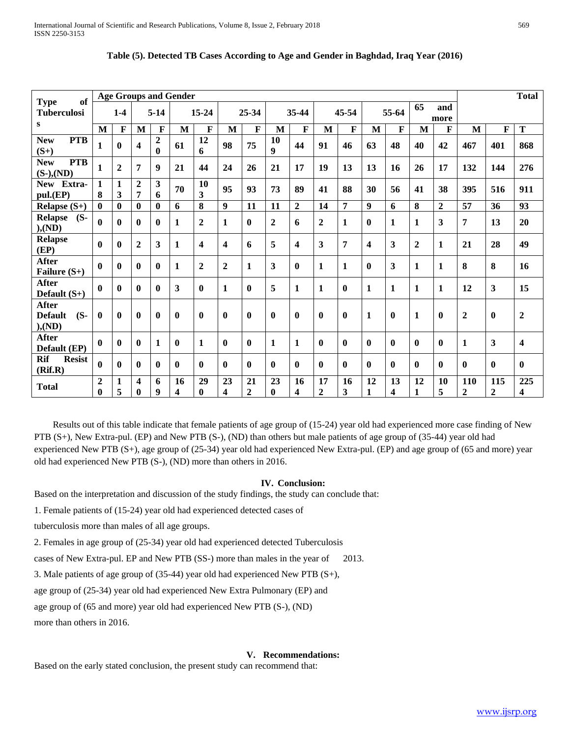| of                                                 |                              | <b>Age Groups and Gender</b> |                   |                            |              |                         |                  |                        |                        |                |                         |                |                         |              |                    | <b>Total</b>   |                       |                       |                         |
|----------------------------------------------------|------------------------------|------------------------------|-------------------|----------------------------|--------------|-------------------------|------------------|------------------------|------------------------|----------------|-------------------------|----------------|-------------------------|--------------|--------------------|----------------|-----------------------|-----------------------|-------------------------|
| <b>Type</b><br><b>Tuberculosi</b>                  |                              | $1-4$                        |                   | $5-14$                     |              | 15-24                   |                  | 25-34                  |                        | 35-44          |                         | 45-54          |                         | 55-64        | 65                 | and<br>more    |                       |                       |                         |
| S                                                  | M                            | $\mathbf{F}$                 | M                 | F                          | M            | F                       | M                | F                      | M                      | F              | M                       | F              | M                       | F            | M                  | $\mathbf{F}$   | M                     | $\mathbf{F}$          | T                       |
| <b>PTB</b><br><b>New</b><br>$(S+)$                 | 1                            | $\bf{0}$                     | 4                 | $\overline{2}$<br>$\bf{0}$ | 61           | 12<br>6                 | 98               | 75                     | 10<br>$\boldsymbol{Q}$ | 44             | 91                      | 46             | 63                      | 48           | 40                 | 42             | 467                   | 401                   | 868                     |
| <b>PTB</b><br><b>New</b><br>$(S-), (ND)$           | $\mathbf{1}$                 | $\mathbf{2}$                 | 7                 | $\boldsymbol{9}$           | 21           | 44                      | 24               | 26                     | 21                     | 17             | 19                      | 13             | 13                      | 16           | 26                 | 17             | 132                   | 144                   | 276                     |
| New Extra-<br>pul.(EP)                             | 1<br>8                       | 1<br>3                       | $\mathbf{2}$<br>7 | 3<br>6                     | 70           | 10<br>3                 | 95               | 93                     | 73                     | 89             | 41                      | 88             | 30                      | 56           | 41                 | 38             | 395                   | 516                   | 911                     |
| Relapse $(S+)$                                     | $\mathbf{0}$                 | $\mathbf{0}$                 | $\mathbf{0}$      | $\mathbf{0}$               | 6            | 8                       | 9                | 11                     | 11                     | $\overline{2}$ | 14                      | $\overline{7}$ | $\boldsymbol{9}$        | 6            | 8                  | $\overline{2}$ | 57                    | 36                    | 93                      |
| <b>Relapse</b><br>$(S-$<br>), (ND)                 | 0                            | $\mathbf{0}$                 | $\mathbf{0}$      | $\mathbf{0}$               | 1            | $\boldsymbol{2}$        | 1                | $\mathbf{0}$           | $\mathbf{2}$           | 6              | $\boldsymbol{2}$        | 1              | $\mathbf{0}$            | 1            | $\mathbf{1}$       | 3              | 7                     | 13                    | 20                      |
| <b>Relapse</b><br>(EP)                             | 0                            | $\mathbf{0}$                 | $\mathbf{2}$      | 3                          | 1            | $\overline{\mathbf{4}}$ | 4                | 6                      | 5                      | 4              | $\overline{\mathbf{3}}$ | 7              | $\overline{\mathbf{4}}$ | 3            | $\boldsymbol{2}$   | $\mathbf{1}$   | 21                    | 28                    | 49                      |
| After<br>Failure $(S+)$                            | 0                            | $\mathbf{0}$                 | $\mathbf{0}$      | $\mathbf{0}$               | 1            | $\boldsymbol{2}$        | $\boldsymbol{2}$ | 1                      | 3                      | $\mathbf{0}$   | $\mathbf{1}$            | $\mathbf{1}$   | $\mathbf{0}$            | 3            | $\mathbf{1}$       | 1              | 8                     | 8                     | 16                      |
| After<br>Default $(S+)$                            | 0                            | $\mathbf{0}$                 | 0                 | $\mathbf{0}$               | 3            | $\mathbf{0}$            | 1                | $\mathbf{0}$           | 5                      | 1              | $\mathbf{1}$            | $\bf{0}$       | 1                       | 1            | $\mathbf{1}$       | 1              | 12                    | 3                     | 15                      |
| <b>After</b><br>$(S-$<br><b>Default</b><br>), (ND) | 0                            | $\mathbf{0}$                 | $\mathbf{0}$      | $\bf{0}$                   | $\mathbf{0}$ | $\mathbf{0}$            | $\bf{0}$         | $\mathbf{0}$           | $\mathbf{0}$           | $\mathbf{0}$   | $\mathbf{0}$            | $\mathbf{0}$   | 1                       | $\mathbf{0}$ | $\mathbf{1}$       | $\mathbf{0}$   | $\overline{2}$        | $\bf{0}$              | $\boldsymbol{2}$        |
| After<br>Default (EP)                              | 0                            | $\mathbf{0}$                 | $\bf{0}$          | 1                          | $\mathbf{0}$ | 1                       | $\bf{0}$         | $\mathbf{0}$           | 1                      | 1              | $\bf{0}$                | $\mathbf{0}$   | $\mathbf{0}$            | $\mathbf{0}$ | $\bf{0}$           | $\mathbf{0}$   | 1                     | 3                     | $\overline{\mathbf{4}}$ |
| <b>Rif</b><br><b>Resist</b><br>(Rif.R)             | 0                            | $\mathbf{0}$                 | $\bf{0}$          | $\mathbf{0}$               | $\mathbf{0}$ | $\mathbf{0}$            | $\mathbf{0}$     | $\mathbf{0}$           | $\mathbf{0}$           | $\mathbf{0}$   | $\mathbf{0}$            | $\mathbf{0}$   | $\mathbf{0}$            | $\mathbf{0}$ | $\bf{0}$           | $\mathbf{0}$   | $\bf{0}$              | $\mathbf{0}$          | $\mathbf{0}$            |
| Total                                              | $\boldsymbol{2}$<br>$\bf{0}$ | 1<br>5                       | 4<br>0            | 6<br>9                     | 16<br>4      | 29<br>$\mathbf{0}$      | 23<br>4          | 21<br>$\boldsymbol{2}$ | 23<br>$\mathbf{0}$     | 16<br>4        | 17<br>$\boldsymbol{2}$  | 16<br>3        | 12<br>1                 | 13<br>4      | 12<br>$\mathbf{1}$ | 10<br>5        | 110<br>$\overline{2}$ | 115<br>$\overline{2}$ | 225<br>4                |

| Table (5). Detected TB Cases According to Age and Gender in Baghdad, Iraq Year (2016) |  |  |
|---------------------------------------------------------------------------------------|--|--|
|                                                                                       |  |  |

 Results out of this table indicate that female patients of age group of (15-24) year old had experienced more case finding of New PTB (S+), New Extra-pul. (EP) and New PTB (S-), (ND) than others but male patients of age group of (35-44) year old had experienced New PTB (S+), age group of (25-34) year old had experienced New Extra-pul. (EP) and age group of (65 and more) year old had experienced New PTB (S-), (ND) more than others in 2016.

#### **IV. Conclusion:**

Based on the interpretation and discussion of the study findings, the study can conclude that:

1. Female patients of (15-24) year old had experienced detected cases of

tuberculosis more than males of all age groups.

2. Females in age group of (25-34) year old had experienced detected Tuberculosis

cases of New Extra-pul. EP and New PTB (SS-) more than males in the year of 2013.

3. Male patients of age group of (35-44) year old had experienced New PTB (S+),

age group of (25-34) year old had experienced New Extra Pulmonary (EP) and

age group of (65 and more) year old had experienced New PTB (S-), (ND)

more than others in 2016.

#### **V. Recommendations:**

Based on the early stated conclusion, the present study can recommend that: